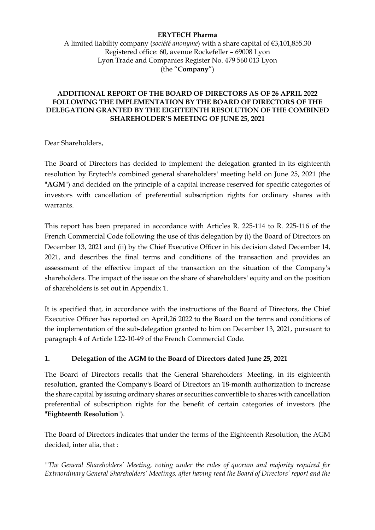### **ERYTECH Pharma**

A limited liability company (*société anonyme*) with a share capital of €3,101,855.30 Registered office: 60, avenue Rockefeller – 69008 Lyon Lyon Trade and Companies Register No. 479 560 013 Lyon (the "**Company**")

### **ADDITIONAL REPORT OF THE BOARD OF DIRECTORS AS OF 26 APRIL 2022 FOLLOWING THE IMPLEMENTATION BY THE BOARD OF DIRECTORS OF THE DELEGATION GRANTED BY THE EIGHTEENTH RESOLUTION OF THE COMBINED SHAREHOLDER'S MEETING OF JUNE 25, 2021**

Dear Shareholders,

The Board of Directors has decided to implement the delegation granted in its eighteenth resolution by Erytech's combined general shareholders' meeting held on June 25, 2021 (the "**AGM**") and decided on the principle of a capital increase reserved for specific categories of investors with cancellation of preferential subscription rights for ordinary shares with warrants.

This report has been prepared in accordance with Articles R. 225-114 to R. 225-116 of the French Commercial Code following the use of this delegation by (i) the Board of Directors on December 13, 2021 and (ii) by the Chief Executive Officer in his decision dated December 14, 2021, and describes the final terms and conditions of the transaction and provides an assessment of the effective impact of the transaction on the situation of the Company's shareholders. The impact of the issue on the share of shareholders' equity and on the position of shareholders is set out in Appendix 1.

It is specified that, in accordance with the instructions of the Board of Directors, the Chief Executive Officer has reported on April,26 2022 to the Board on the terms and conditions of the implementation of the sub-delegation granted to him on December 13, 2021, pursuant to paragraph 4 of Article L22-10-49 of the French Commercial Code.

### **1. Delegation of the AGM to the Board of Directors dated June 25, 2021**

The Board of Directors recalls that the General Shareholders' Meeting, in its eighteenth resolution, granted the Company's Board of Directors an 18-month authorization to increase the share capital by issuing ordinary shares or securities convertible to shares with cancellation preferential of subscription rights for the benefit of certain categories of investors (the "**Eighteenth Resolution**").

The Board of Directors indicates that under the terms of the Eighteenth Resolution, the AGM decided, inter alia, that :

*"The General Shareholders' Meeting, voting under the rules of quorum and majority required for Extraordinary General Shareholders' Meetings, after having read the Board of Directors' report and the*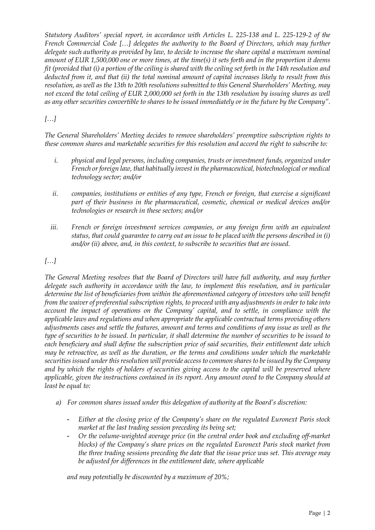*Statutory Auditors' special report, in accordance with Articles L. 225-138 and L. 225-129-2 of the French Commercial Code […] delegates the authority to the Board of Directors, which may further delegate such authority as provided by law, to decide to increase the share capital a maximum nominal amount of EUR 1,500,000 one or more times, at the time(s) it sets forth and in the proportion it deems fit (provided that (i) a portion of the ceiling is shared with the ceiling set forth in the 14th resolution and deducted from it, and that (ii) the total nominal amount of capital increases likely to result from this resolution, as well as the 13th to 20th resolutions submitted to this General Shareholders' Meeting, may not exceed the total ceiling of EUR 2,000,000 set forth in the 13th resolution by issuing shares as well as any other securities convertible to shares to be issued immediately or in the future by the Company".*

# *[…]*

*The General Shareholders' Meeting decides to remove shareholders' preemptive subscription rights to these common shares and marketable securities for this resolution and accord the right to subscribe to:*

- *i. physical and legal persons, including companies, trusts or investment funds, organized under French or foreign law, that habitually invest in the pharmaceutical, biotechnological or medical technology sector; and/or*
- *ii. companies, institutions or entities of any type, French or foreign, that exercise a significant part of their business in the pharmaceutical, cosmetic, chemical or medical devices and/or technologies or research in these sectors; and/or*
- *iii. French or foreign investment services companies, or any foreign firm with an equivalent status, that could guarantee to carry out an issue to be placed with the persons described in (i) and/or (ii) above, and, in this context, to subscribe to securities that are issued.*

# *[…]*

*The General Meeting resolves that the Board of Directors will have full authority, and may further delegate such authority in accordance with the law, to implement this resolution, and in particular determine the list of beneficiaries from within the aforementioned category of investors who will benefit from the waiver of preferential subscription rights, to proceed with any adjustments in order to take into*  account the impact of operations on the Company' capital, and to settle, in compliance with the *applicable laws and regulations and when appropriate the applicable contractual terms providing others adjustments cases and settle the features, amount and terms and conditions of any issue as well as the type of securities to be issued. In particular, it shall determine the number of securities to be issued to each beneficiary and shall define the subscription price of said securities, their entitlement date which may be retroactive, as well as the duration, or the terms and conditions under which the marketable securities issued under this resolution will provide access to common shares to be issued by the Company and by which the rights of holders of securities giving access to the capital will be preserved where applicable, given the instructions contained in its report. Any amount owed to the Company should at least be equal to:*

- *a) For common shares issued under this delegation of authority at the Board's discretion:*
	- *Either at the closing price of the Company's share on the regulated Euronext Paris stock market at the last trading session preceding its being set;*
	- *Or the volume-weighted average price (in the central order book and excluding off-market blocks) of the Company's share prices on the regulated Euronext Paris stock market from the three trading sessions preceding the date that the issue price was set. This average may be adjusted for differences in the entitlement date, where applicable*

*and may potentially be discounted by a maximum of 20%;*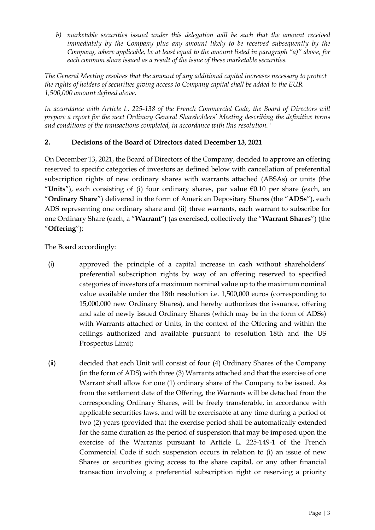*b) marketable securities issued under this delegation will be such that the amount received immediately by the Company plus any amount likely to be received subsequently by the Company, where applicable, be at least equal to the amount listed in paragraph "a)" above, for each common share issued as a result of the issue of these marketable securities.*

*The General Meeting resolves that the amount of any additional capital increases necessary to protect the rights of holders of securities giving access to Company capital shall be added to the EUR 1,500,000 amount defined above.*

*In accordance with Article L. 225-138 of the French Commercial Code, the Board of Directors will prepare a report for the next Ordinary General Shareholders' Meeting describing the definitive terms and conditions of the transactions completed, in accordance with this resolution."*

# **2. Decisions of the Board of Directors dated December 13, 2021**

On December 13, 2021, the Board of Directors of the Company, decided to approve an offering reserved to specific categories of investors as defined below with cancellation of preferential subscription rights of new ordinary shares with warrants attached (ABSAs) or units (the "**Units**"), each consisting of (i) four ordinary shares, par value €0.10 per share (each, an "**Ordinary Share**") delivered in the form of American Depositary Shares (the "**ADSs**"), each ADS representing one ordinary share and (ii) three warrants, each warrant to subscribe for one Ordinary Share (each, a "**Warrant")** (as exercised, collectively the "**Warrant Shares**") (the "**Offering**");

The Board accordingly:

- (i) approved the principle of a capital increase in cash without shareholders' preferential subscription rights by way of an offering reserved to specified categories of investors of a maximum nominal value up to the maximum nominal value available under the 18th resolution i.e. 1,500,000 euros (corresponding to 15,000,000 new Ordinary Shares), and hereby authorizes the issuance, offering and sale of newly issued Ordinary Shares (which may be in the form of ADSs) with Warrants attached or Units, in the context of the Offering and within the ceilings authorized and available pursuant to resolution 18th and the US Prospectus Limit;
- (ii) decided that each Unit will consist of four (4) Ordinary Shares of the Company (in the form of ADS) with three (3) Warrants attached and that the exercise of one Warrant shall allow for one (1) ordinary share of the Company to be issued. As from the settlement date of the Offering, the Warrants will be detached from the corresponding Ordinary Shares, will be freely transferable, in accordance with applicable securities laws, and will be exercisable at any time during a period of two (2) years (provided that the exercise period shall be automatically extended for the same duration as the period of suspension that may be imposed upon the exercise of the Warrants pursuant to Article L. 225-149-1 of the French Commercial Code if such suspension occurs in relation to (i) an issue of new Shares or securities giving access to the share capital, or any other financial transaction involving a preferential subscription right or reserving a priority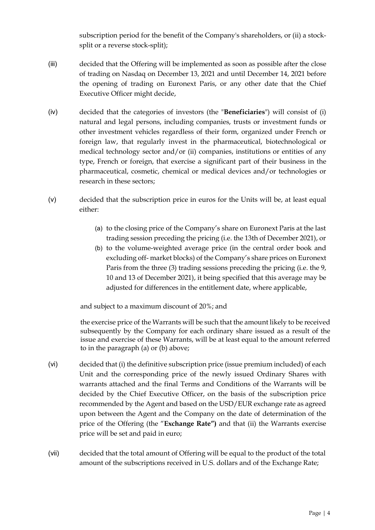subscription period for the benefit of the Company's shareholders, or (ii) a stocksplit or a reverse stock-split);

- (iii) decided that the Offering will be implemented as soon as possible after the close of trading on Nasdaq on December 13, 2021 and until December 14, 2021 before the opening of trading on Euronext Paris, or any other date that the Chief Executive Officer might decide,
- (iv) decided that the categories of investors (the "**Beneficiaries**") will consist of (i) natural and legal persons, including companies, trusts or investment funds or other investment vehicles regardless of their form, organized under French or foreign law, that regularly invest in the pharmaceutical, biotechnological or medical technology sector and/or (ii) companies, institutions or entities of any type, French or foreign, that exercise a significant part of their business in the pharmaceutical, cosmetic, chemical or medical devices and/or technologies or research in these sectors;
- (v) decided that the subscription price in euros for the Units will be, at least equal either:
	- (a) to the closing price of the Company's share on Euronext Paris at the last trading session preceding the pricing (i.e. the 13th of December 2021), or
	- (b) to the volume-weighted average price (in the central order book and excluding off- market blocks) of the Company's share prices on Euronext Paris from the three (3) trading sessions preceding the pricing (i.e. the 9, 10 and 13 of December 2021), it being specified that this average may be adjusted for differences in the entitlement date, where applicable,

and subject to a maximum discount of 20%; and

the exercise price of the Warrants will be such that the amount likely to be received subsequently by the Company for each ordinary share issued as a result of the issue and exercise of these Warrants, will be at least equal to the amount referred to in the paragraph (a) or (b) above;

- (vi) decided that (i) the definitive subscription price (issue premium included) of each Unit and the corresponding price of the newly issued Ordinary Shares with warrants attached and the final Terms and Conditions of the Warrants will be decided by the Chief Executive Officer, on the basis of the subscription price recommended by the Agent and based on the USD/EUR exchange rate as agreed upon between the Agent and the Company on the date of determination of the price of the Offering (the "**Exchange Rate")** and that (ii) the Warrants exercise price will be set and paid in euro;
- (vii) decided that the total amount of Offering will be equal to the product of the total amount of the subscriptions received in U.S. dollars and of the Exchange Rate;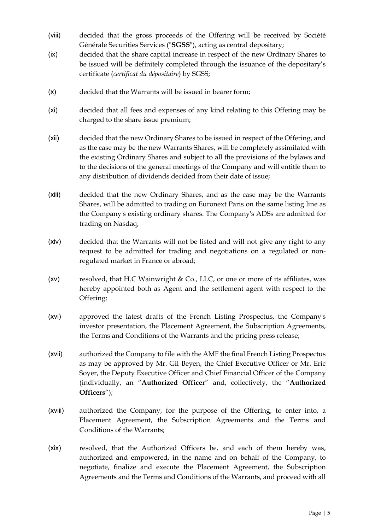- (viii) decided that the gross proceeds of the Offering will be received by Société Générale Securities Services ("**SGSS**"), acting as central depositary;
- (ix) decided that the share capital increase in respect of the new Ordinary Shares to be issued will be definitely completed through the issuance of the depositary's certificate (*certificat du dépositaire*) by SGSS;
- (x) decided that the Warrants will be issued in bearer form;
- (xi) decided that all fees and expenses of any kind relating to this Offering may be charged to the share issue premium;
- (xii) decided that the new Ordinary Shares to be issued in respect of the Offering, and as the case may be the new Warrants Shares, will be completely assimilated with the existing Ordinary Shares and subject to all the provisions of the bylaws and to the decisions of the general meetings of the Company and will entitle them to any distribution of dividends decided from their date of issue;
- (xiii) decided that the new Ordinary Shares, and as the case may be the Warrants Shares, will be admitted to trading on Euronext Paris on the same listing line as the Company's existing ordinary shares. The Company's ADSs are admitted for trading on Nasdaq;
- (xiv) decided that the Warrants will not be listed and will not give any right to any request to be admitted for trading and negotiations on a regulated or nonregulated market in France or abroad;
- ( $xv$ ) resolved, that H.C Wainwright & Co., LLC, or one or more of its affiliates, was hereby appointed both as Agent and the settlement agent with respect to the Offering;
- (xvi) approved the latest drafts of the French Listing Prospectus, the Company's investor presentation, the Placement Agreement, the Subscription Agreements, the Terms and Conditions of the Warrants and the pricing press release;
- (xvii) authorized the Company to file with the AMF the final French Listing Prospectus as may be approved by Mr. Gil Beyen, the Chief Executive Officer or Mr. Eric Soyer, the Deputy Executive Officer and Chief Financial Officer of the Company (individually, an "**Authorized Officer**" and, collectively, the "**Authorized Officers**");
- (xviii) authorized the Company, for the purpose of the Offering, to enter into, a Placement Agreement, the Subscription Agreements and the Terms and Conditions of the Warrants;
- (xix) resolved, that the Authorized Officers be, and each of them hereby was, authorized and empowered, in the name and on behalf of the Company, to negotiate, finalize and execute the Placement Agreement, the Subscription Agreements and the Terms and Conditions of the Warrants, and proceed with all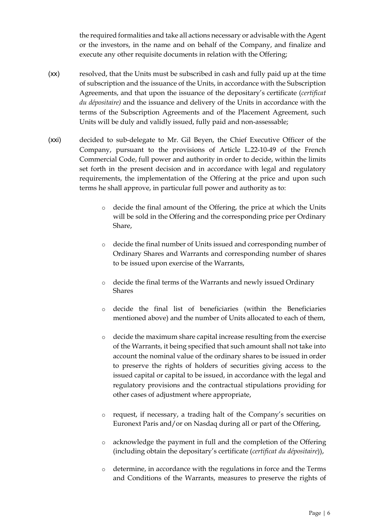the required formalities and take all actions necessary or advisable with the Agent or the investors, in the name and on behalf of the Company, and finalize and execute any other requisite documents in relation with the Offering;

- (xx) resolved, that the Units must be subscribed in cash and fully paid up at the time of subscription and the issuance of the Units, in accordance with the Subscription Agreements, and that upon the issuance of the depositary's certificate (*certificat du dépositaire)* and the issuance and delivery of the Units in accordance with the terms of the Subscription Agreements and of the Placement Agreement, such Units will be duly and validly issued, fully paid and non-assessable;
- (xxi) decided to sub-delegate to Mr. Gil Beyen, the Chief Executive Officer of the Company, pursuant to the provisions of Article L.22-10-49 of the French Commercial Code, full power and authority in order to decide, within the limits set forth in the present decision and in accordance with legal and regulatory requirements, the implementation of the Offering at the price and upon such terms he shall approve, in particular full power and authority as to:
	- o decide the final amount of the Offering, the price at which the Units will be sold in the Offering and the corresponding price per Ordinary Share,
	- o decide the final number of Units issued and corresponding number of Ordinary Shares and Warrants and corresponding number of shares to be issued upon exercise of the Warrants,
	- o decide the final terms of the Warrants and newly issued Ordinary Shares
	- o decide the final list of beneficiaries (within the Beneficiaries mentioned above) and the number of Units allocated to each of them,
	- o decide the maximum share capital increase resulting from the exercise of the Warrants, it being specified that such amount shall not take into account the nominal value of the ordinary shares to be issued in order to preserve the rights of holders of securities giving access to the issued capital or capital to be issued, in accordance with the legal and regulatory provisions and the contractual stipulations providing for other cases of adjustment where appropriate,
	- request, if necessary, a trading halt of the Company's securities on Euronext Paris and/or on Nasdaq during all or part of the Offering,
	- o acknowledge the payment in full and the completion of the Offering (including obtain the depositary's certificate (*certificat du dépositaire*)),
	- o determine, in accordance with the regulations in force and the Terms and Conditions of the Warrants, measures to preserve the rights of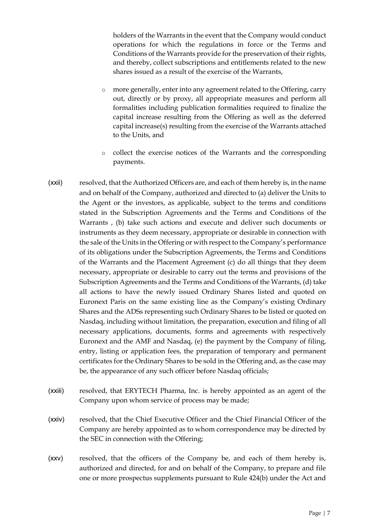holders of the Warrants in the event that the Company would conduct operations for which the regulations in force or the Terms and Conditions of the Warrants provide for the preservation of their rights, and thereby, collect subscriptions and entitlements related to the new shares issued as a result of the exercise of the Warrants,

- o more generally, enter into any agreement related to the Offering, carry out, directly or by proxy, all appropriate measures and perform all formalities including publication formalities required to finalize the capital increase resulting from the Offering as well as the deferred capital increase(s) resulting from the exercise of the Warrants attached to the Units, and
- collect the exercise notices of the Warrants and the corresponding payments.
- (xxii) resolved, that the Authorized Officers are, and each of them hereby is, in the name and on behalf of the Company, authorized and directed to (a) deliver the Units to the Agent or the investors, as applicable, subject to the terms and conditions stated in the Subscription Agreements and the Terms and Conditions of the Warrants , (b) take such actions and execute and deliver such documents or instruments as they deem necessary, appropriate or desirable in connection with the sale of the Units in the Offering or with respect to the Company's performance of its obligations under the Subscription Agreements, the Terms and Conditions of the Warrants and the Placement Agreement (c) do all things that they deem necessary, appropriate or desirable to carry out the terms and provisions of the Subscription Agreements and the Terms and Conditions of the Warrants, (d) take all actions to have the newly issued Ordinary Shares listed and quoted on Euronext Paris on the same existing line as the Company's existing Ordinary Shares and the ADSs representing such Ordinary Shares to be listed or quoted on Nasdaq, including without limitation, the preparation, execution and filing of all necessary applications, documents, forms and agreements with respectively Euronext and the AMF and Nasdaq, (e) the payment by the Company of filing, entry, listing or application fees, the preparation of temporary and permanent certificates for the Ordinary Shares to be sold in the Offering and, as the case may be, the appearance of any such officer before Nasdaq officials;
- (xxiii) resolved, that ERYTECH Pharma, Inc. is hereby appointed as an agent of the Company upon whom service of process may be made;
- (xxiv) resolved, that the Chief Executive Officer and the Chief Financial Officer of the Company are hereby appointed as to whom correspondence may be directed by the SEC in connection with the Offering;
- (xxv) resolved, that the officers of the Company be, and each of them hereby is, authorized and directed, for and on behalf of the Company, to prepare and file one or more prospectus supplements pursuant to Rule 424(b) under the Act and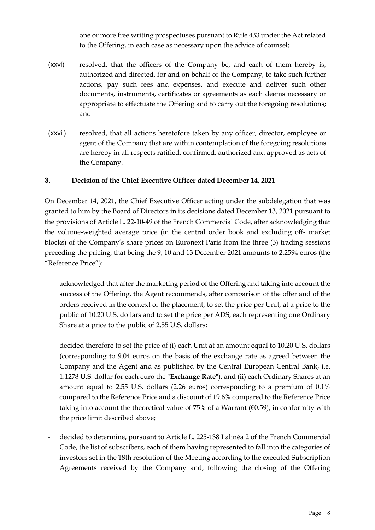one or more free writing prospectuses pursuant to Rule 433 under the Act related to the Offering, in each case as necessary upon the advice of counsel;

- (xxvi) resolved, that the officers of the Company be, and each of them hereby is, authorized and directed, for and on behalf of the Company, to take such further actions, pay such fees and expenses, and execute and deliver such other documents, instruments, certificates or agreements as each deems necessary or appropriate to effectuate the Offering and to carry out the foregoing resolutions; and
- (xxvii) resolved, that all actions heretofore taken by any officer, director, employee or agent of the Company that are within contemplation of the foregoing resolutions are hereby in all respects ratified, confirmed, authorized and approved as acts of the Company.

# **3. Decision of the Chief Executive Officer dated December 14, 2021**

On December 14, 2021, the Chief Executive Officer acting under the subdelegation that was granted to him by the Board of Directors in its decisions dated December 13, 2021 pursuant to the provisions of Article L. 22-10-49 of the French Commercial Code, after acknowledging that the volume-weighted average price (in the central order book and excluding off- market blocks) of the Company's share prices on Euronext Paris from the three (3) trading sessions preceding the pricing, that being the 9, 10 and 13 December 2021 amounts to 2.2594 euros (the "Reference Price"):

- acknowledged that after the marketing period of the Offering and taking into account the success of the Offering, the Agent recommends, after comparison of the offer and of the orders received in the context of the placement, to set the price per Unit, at a price to the public of 10.20 U.S. dollars and to set the price per ADS, each representing one Ordinary Share at a price to the public of 2.55 U.S. dollars;
- decided therefore to set the price of (i) each Unit at an amount equal to 10.20 U.S. dollars (corresponding to 9.04 euros on the basis of the exchange rate as agreed between the Company and the Agent and as published by the Central European Central Bank, i.e. 1.1278 U.S. dollar for each euro the "**Exchange Rate**"), and (ii) each Ordinary Shares at an amount equal to 2.55 U.S. dollars (2.26 euros) corresponding to a premium of 0.1% compared to the Reference Price and a discount of 19.6% compared to the Reference Price taking into account the theoretical value of 75% of a Warrant ( $\epsilon$ 0.59), in conformity with the price limit described above;
- decided to determine, pursuant to Article L. 225-138 I alinéa 2 of the French Commercial Code, the list of subscribers, each of them having represented to fall into the categories of investors set in the 18th resolution of the Meeting according to the executed Subscription Agreements received by the Company and, following the closing of the Offering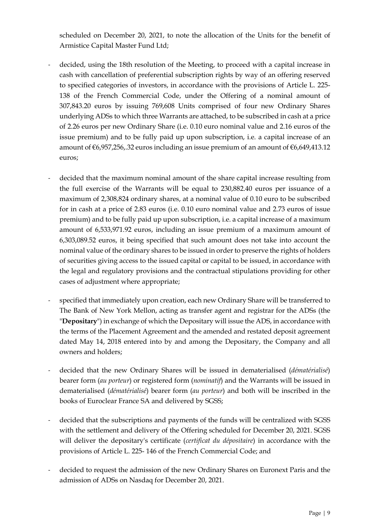scheduled on December 20, 2021, to note the allocation of the Units for the benefit of Armistice Capital Master Fund Ltd;

- decided, using the 18th resolution of the Meeting, to proceed with a capital increase in cash with cancellation of preferential subscription rights by way of an offering reserved to specified categories of investors, in accordance with the provisions of Article L. 225- 138 of the French Commercial Code, under the Offering of a nominal amount of 307,843.20 euros by issuing 769,608 Units comprised of four new Ordinary Shares underlying ADSs to which three Warrants are attached, to be subscribed in cash at a price of 2.26 euros per new Ordinary Share (i.e. 0.10 euro nominal value and 2.16 euros of the issue premium) and to be fully paid up upon subscription, i.e. a capital increase of an amount of €6,957,256,.32 euros including an issue premium of an amount of €6,649,413.12 euros;
- decided that the maximum nominal amount of the share capital increase resulting from the full exercise of the Warrants will be equal to 230,882.40 euros per issuance of a maximum of 2,308,824 ordinary shares, at a nominal value of 0.10 euro to be subscribed for in cash at a price of 2.83 euros (i.e. 0.10 euro nominal value and 2.73 euros of issue premium) and to be fully paid up upon subscription, i.e. a capital increase of a maximum amount of 6,533,971.92 euros, including an issue premium of a maximum amount of 6,303,089.52 euros, it being specified that such amount does not take into account the nominal value of the ordinary shares to be issued in order to preserve the rights of holders of securities giving access to the issued capital or capital to be issued, in accordance with the legal and regulatory provisions and the contractual stipulations providing for other cases of adjustment where appropriate;
- specified that immediately upon creation, each new Ordinary Share will be transferred to The Bank of New York Mellon, acting as transfer agent and registrar for the ADSs (the "**Depositary**") in exchange of which the Depositary will issue the ADS, in accordance with the terms of the Placement Agreement and the amended and restated deposit agreement dated May 14, 2018 entered into by and among the Depositary, the Company and all owners and holders;
- decided that the new Ordinary Shares will be issued in dematerialised (*dématérialisé*) bearer form (*au porteur*) or registered form (*nominatif*) and the Warrants will be issued in dematerialised (*dématérialisé*) bearer form (*au porteur*) and both will be inscribed in the books of Euroclear France SA and delivered by SGSS;
- decided that the subscriptions and payments of the funds will be centralized with SGSS with the settlement and delivery of the Offering scheduled for December 20, 2021. SGSS will deliver the depositary's certificate (*certificat du dépositaire*) in accordance with the provisions of Article L. 225- 146 of the French Commercial Code; and
- decided to request the admission of the new Ordinary Shares on Euronext Paris and the admission of ADSs on Nasdaq for December 20, 2021.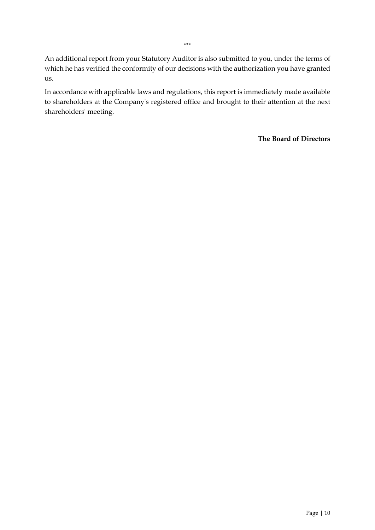An additional report from your Statutory Auditor is also submitted to you, under the terms of which he has verified the conformity of our decisions with the authorization you have granted us.

In accordance with applicable laws and regulations, this report is immediately made available to shareholders at the Company's registered office and brought to their attention at the next shareholders' meeting.

**The Board of Directors**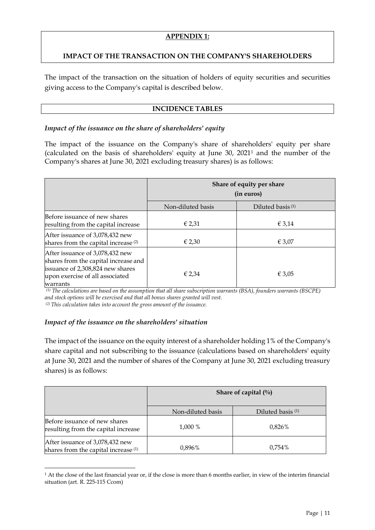### **APPENDIX 1:**

### **IMPACT OF THE TRANSACTION ON THE COMPANY'S SHAREHOLDERS**

The impact of the transaction on the situation of holders of equity securities and securities giving access to the Company's capital is described below.

### **INCIDENCE TABLES**

#### *Impact of the issuance on the share of shareholders' equity*

The impact of the issuance on the Company's share of shareholders' equity per share (calculated on the basis of shareholders' equity at June 30, 2021[1](#page-10-0) and the number of the Company's shares at June 30, 2021 excluding treasury shares) is as follows:

|                                                                                                                                                            | Share of equity per share<br>(in euros) |                              |
|------------------------------------------------------------------------------------------------------------------------------------------------------------|-----------------------------------------|------------------------------|
|                                                                                                                                                            | Non-diluted basis                       | Diluted basis <sup>(1)</sup> |
| Before issuance of new shares<br>resulting from the capital increase                                                                                       | € 2,31                                  | $\epsilon$ 3,14              |
| After issuance of 3,078,432 new<br>shares from the capital increase <sup>(2)</sup>                                                                         | $\epsilon$ 2,30                         | $\epsilon$ 3.07              |
| After issuance of 3,078,432 new<br>shares from the capital increase and<br>issuance of 2,308,824 new shares<br>upon exercise of all associated<br>warrants | € 2,34                                  | € 3,05                       |

*(1) The calculations are based on the assumption that all share subscription warrants (BSA), founders warrants (BSCPE) and stock options will be exercised and that all bonus shares granted will vest. (2) This calculation takes into account the gross amount of the issuance.*

### *Impact of the issuance on the shareholders' situation*

The impact of the issuance on the equity interest of a shareholder holding 1% of the Company's share capital and not subscribing to the issuance (calculations based on shareholders' equity at June 30, 2021 and the number of shares of the Company at June 30, 2021 excluding treasury shares) is as follows:

|                                                                                    | Share of capital $(\%$ |                              |
|------------------------------------------------------------------------------------|------------------------|------------------------------|
|                                                                                    | Non-diluted basis      | Diluted basis <sup>(1)</sup> |
| Before issuance of new shares<br>resulting from the capital increase               | 1,000 %                | 0,826%                       |
| After issuance of 3,078,432 new<br>shares from the capital increase <sup>(1)</sup> | 0,896%                 | 0.754%                       |

<span id="page-10-0"></span><sup>1</sup> At the close of the last financial year or, if the close is more than 6 months earlier, in view of the interim financial situation (art. R. 225-115 Ccom)